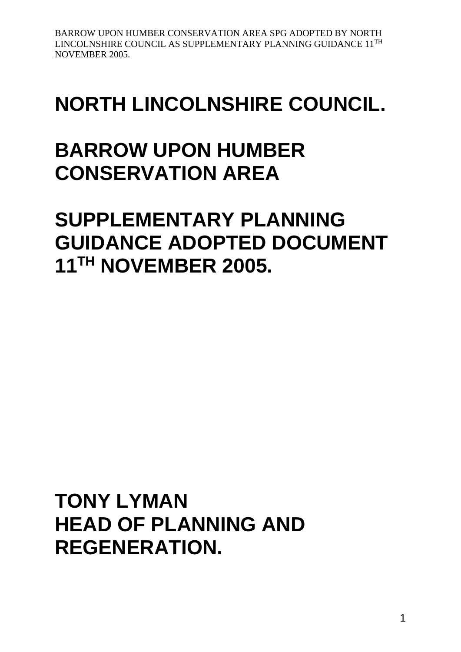# **NORTH LINCOLNSHIRE COUNCIL.**

# **BARROW UPON HUMBER CONSERVATION AREA**

# **SUPPLEMENTARY PLANNING GUIDANCE ADOPTED DOCUMENT 11TH NOVEMBER 2005.**

**TONY LYMAN HEAD OF PLANNING AND REGENERATION.**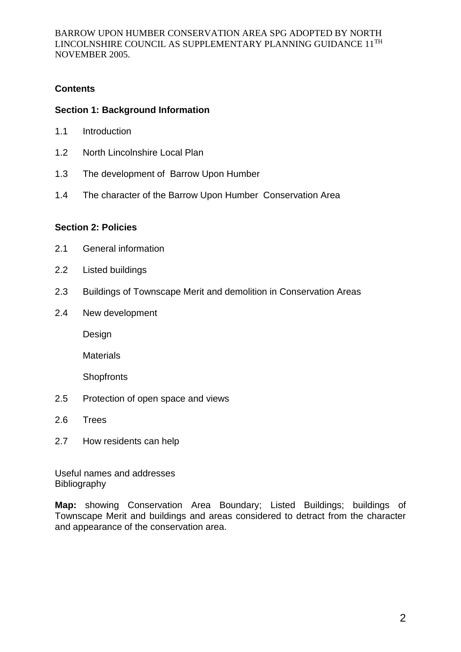## **Contents**

## **Section 1: Background Information**

- 1.1 Introduction
- 1.2 North Lincolnshire Local Plan
- 1.3 The development of Barrow Upon Humber
- 1.4 The character of the Barrow Upon Humber Conservation Area

## **Section 2: Policies**

- 2.1 General information
- 2.2 Listed buildings
- 2.3 Buildings of Townscape Merit and demolition in Conservation Areas
- 2.4 New development

Design

**Materials** 

**Shopfronts** 

- 2.5 Protection of open space and views
- 2.6 Trees
- 2.7 How residents can help

Useful names and addresses Bibliography

**Map:** showing Conservation Area Boundary; Listed Buildings; buildings of Townscape Merit and buildings and areas considered to detract from the character and appearance of the conservation area.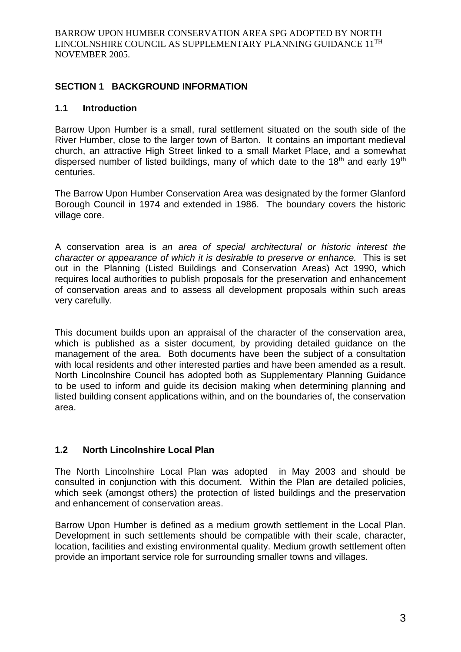## **SECTION 1 BACKGROUND INFORMATION**

#### **1.1 Introduction**

Barrow Upon Humber is a small, rural settlement situated on the south side of the River Humber, close to the larger town of Barton. It contains an important medieval church, an attractive High Street linked to a small Market Place, and a somewhat dispersed number of listed buildings, many of which date to the  $18<sup>th</sup>$  and early  $19<sup>th</sup>$ centuries.

The Barrow Upon Humber Conservation Area was designated by the former Glanford Borough Council in 1974 and extended in 1986. The boundary covers the historic village core.

A conservation area is *an area of special architectural or historic interest the character or appearance of which it is desirable to preserve or enhance.* This is set out in the Planning (Listed Buildings and Conservation Areas) Act 1990, which requires local authorities to publish proposals for the preservation and enhancement of conservation areas and to assess all development proposals within such areas very carefully.

This document builds upon an appraisal of the character of the conservation area, which is published as a sister document, by providing detailed guidance on the management of the area. Both documents have been the subject of a consultation with local residents and other interested parties and have been amended as a result. North Lincolnshire Council has adopted both as Supplementary Planning Guidance to be used to inform and guide its decision making when determining planning and listed building consent applications within, and on the boundaries of, the conservation area.

## **1.2 North Lincolnshire Local Plan**

The North Lincolnshire Local Plan was adopted in May 2003 and should be consulted in conjunction with this document. Within the Plan are detailed policies, which seek (amongst others) the protection of listed buildings and the preservation and enhancement of conservation areas.

Barrow Upon Humber is defined as a medium growth settlement in the Local Plan. Development in such settlements should be compatible with their scale, character, location, facilities and existing environmental quality. Medium growth settlement often provide an important service role for surrounding smaller towns and villages.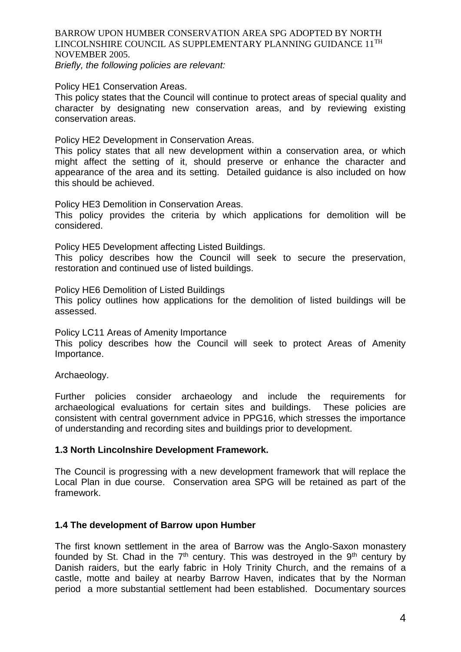*Briefly, the following policies are relevant:*

Policy HE1 Conservation Areas.

This policy states that the Council will continue to protect areas of special quality and character by designating new conservation areas, and by reviewing existing conservation areas.

Policy HE2 Development in Conservation Areas.

This policy states that all new development within a conservation area, or which might affect the setting of it, should preserve or enhance the character and appearance of the area and its setting. Detailed guidance is also included on how this should be achieved.

Policy HE3 Demolition in Conservation Areas.

This policy provides the criteria by which applications for demolition will be considered.

Policy HE5 Development affecting Listed Buildings.

This policy describes how the Council will seek to secure the preservation, restoration and continued use of listed buildings.

Policy HE6 Demolition of Listed Buildings

This policy outlines how applications for the demolition of listed buildings will be assessed.

Policy LC11 Areas of Amenity Importance

This policy describes how the Council will seek to protect Areas of Amenity Importance.

Archaeology.

Further policies consider archaeology and include the requirements for archaeological evaluations for certain sites and buildings. These policies are consistent with central government advice in PPG16, which stresses the importance of understanding and recording sites and buildings prior to development.

## **1.3 North Lincolnshire Development Framework.**

The Council is progressing with a new development framework that will replace the Local Plan in due course. Conservation area SPG will be retained as part of the framework.

## **1.4 The development of Barrow upon Humber**

The first known settlement in the area of Barrow was the Anglo-Saxon monastery founded by St. Chad in the  $7<sup>th</sup>$  century. This was destroyed in the  $9<sup>th</sup>$  century by Danish raiders, but the early fabric in Holy Trinity Church, and the remains of a castle, motte and bailey at nearby Barrow Haven, indicates that by the Norman period a more substantial settlement had been established. Documentary sources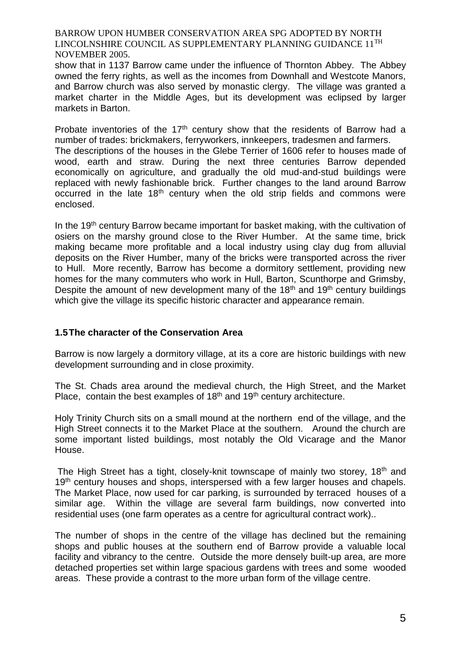show that in 1137 Barrow came under the influence of Thornton Abbey. The Abbey owned the ferry rights, as well as the incomes from Downhall and Westcote Manors, and Barrow church was also served by monastic clergy. The village was granted a market charter in the Middle Ages, but its development was eclipsed by larger markets in Barton.

Probate inventories of the 17<sup>th</sup> century show that the residents of Barrow had a number of trades: brickmakers, ferryworkers, innkeepers, tradesmen and farmers. The descriptions of the houses in the Glebe Terrier of 1606 refer to houses made of wood, earth and straw. During the next three centuries Barrow depended economically on agriculture, and gradually the old mud-and-stud buildings were replaced with newly fashionable brick. Further changes to the land around Barrow occurred in the late 18<sup>th</sup> century when the old strip fields and commons were enclosed.

In the 19<sup>th</sup> century Barrow became important for basket making, with the cultivation of osiers on the marshy ground close to the River Humber. At the same time, brick making became more profitable and a local industry using clay dug from alluvial deposits on the River Humber, many of the bricks were transported across the river to Hull. More recently, Barrow has become a dormitory settlement, providing new homes for the many commuters who work in Hull, Barton, Scunthorpe and Grimsby, Despite the amount of new development many of the  $18<sup>th</sup>$  and  $19<sup>th</sup>$  century buildings which give the village its specific historic character and appearance remain.

## **1.5The character of the Conservation Area**

Barrow is now largely a dormitory village, at its a core are historic buildings with new development surrounding and in close proximity.

The St. Chads area around the medieval church, the High Street, and the Market Place, contain the best examples of  $18<sup>th</sup>$  and  $19<sup>th</sup>$  century architecture.

Holy Trinity Church sits on a small mound at the northern end of the village, and the High Street connects it to the Market Place at the southern. Around the church are some important listed buildings, most notably the Old Vicarage and the Manor House.

The High Street has a tight, closely-knit townscape of mainly two storey, 18<sup>th</sup> and 19<sup>th</sup> century houses and shops, interspersed with a few larger houses and chapels. The Market Place, now used for car parking, is surrounded by terraced houses of a similar age. Within the village are several farm buildings, now converted into residential uses (one farm operates as a centre for agricultural contract work)..

The number of shops in the centre of the village has declined but the remaining shops and public houses at the southern end of Barrow provide a valuable local facility and vibrancy to the centre. Outside the more densely built-up area, are more detached properties set within large spacious gardens with trees and some wooded areas. These provide a contrast to the more urban form of the village centre.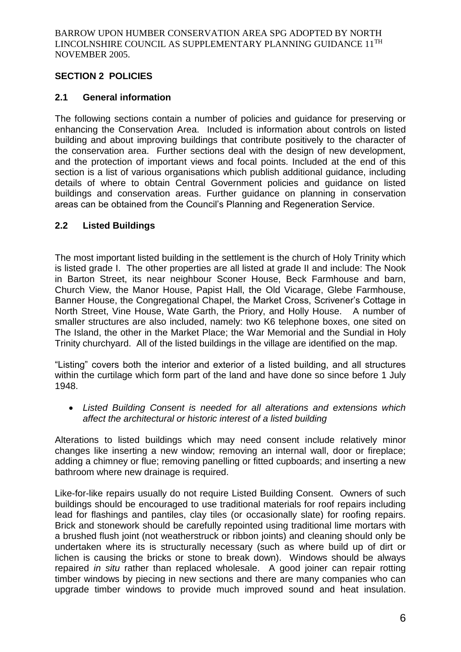## **SECTION 2 POLICIES**

## **2.1 General information**

The following sections contain a number of policies and guidance for preserving or enhancing the Conservation Area. Included is information about controls on listed building and about improving buildings that contribute positively to the character of the conservation area. Further sections deal with the design of new development, and the protection of important views and focal points. Included at the end of this section is a list of various organisations which publish additional guidance, including details of where to obtain Central Government policies and guidance on listed buildings and conservation areas. Further guidance on planning in conservation areas can be obtained from the Council's Planning and Regeneration Service.

## **2.2 Listed Buildings**

The most important listed building in the settlement is the church of Holy Trinity which is listed grade I. The other properties are all listed at grade II and include: The Nook in Barton Street, its near neighbour Sconer House, Beck Farmhouse and barn, Church View, the Manor House, Papist Hall, the Old Vicarage, Glebe Farmhouse, Banner House, the Congregational Chapel, the Market Cross, Scrivener's Cottage in North Street, Vine House, Wate Garth, the Priory, and Holly House. A number of smaller structures are also included, namely: two K6 telephone boxes, one sited on The Island, the other in the Market Place; the War Memorial and the Sundial in Holy Trinity churchyard. All of the listed buildings in the village are identified on the map.

"Listing" covers both the interior and exterior of a listed building, and all structures within the curtilage which form part of the land and have done so since before 1 July 1948.

 *Listed Building Consent is needed for all alterations and extensions which affect the architectural or historic interest of a listed building*

Alterations to listed buildings which may need consent include relatively minor changes like inserting a new window; removing an internal wall, door or fireplace; adding a chimney or flue; removing panelling or fitted cupboards; and inserting a new bathroom where new drainage is required.

Like-for-like repairs usually do not require Listed Building Consent. Owners of such buildings should be encouraged to use traditional materials for roof repairs including lead for flashings and pantiles, clay tiles (or occasionally slate) for roofing repairs. Brick and stonework should be carefully repointed using traditional lime mortars with a brushed flush joint (not weatherstruck or ribbon joints) and cleaning should only be undertaken where its is structurally necessary (such as where build up of dirt or lichen is causing the bricks or stone to break down). Windows should be always repaired *in situ* rather than replaced wholesale. A good joiner can repair rotting timber windows by piecing in new sections and there are many companies who can upgrade timber windows to provide much improved sound and heat insulation.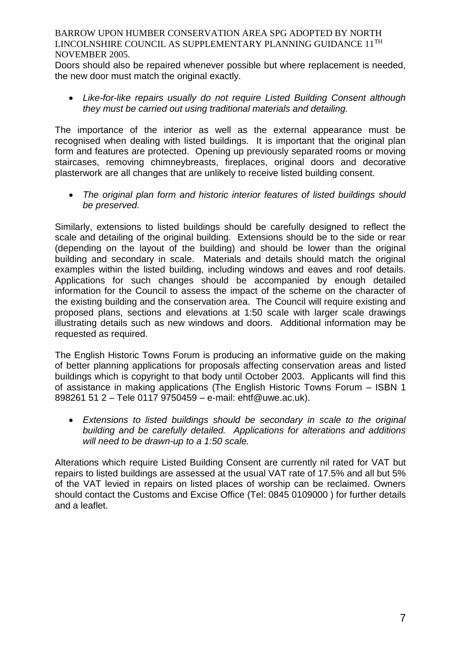Doors should also be repaired whenever possible but where replacement is needed, the new door must match the original exactly.

 *Like-for-like repairs usually do not require Listed Building Consent although they must be carried out using traditional materials and detailing.*

The importance of the interior as well as the external appearance must be recognised when dealing with listed buildings. It is important that the original plan form and features are protected. Opening up previously separated rooms or moving staircases, removing chimneybreasts, fireplaces, original doors and decorative plasterwork are all changes that are unlikely to receive listed building consent.

 *The original plan form and historic interior features of listed buildings should be preserved.*

Similarly, extensions to listed buildings should be carefully designed to reflect the scale and detailing of the original building. Extensions should be to the side or rear (depending on the layout of the building) and should be lower than the original building and secondary in scale. Materials and details should match the original examples within the listed building, including windows and eaves and roof details. Applications for such changes should be accompanied by enough detailed information for the Council to assess the impact of the scheme on the character of the existing building and the conservation area. The Council will require existing and proposed plans, sections and elevations at 1:50 scale with larger scale drawings illustrating details such as new windows and doors. Additional information may be requested as required.

The English Historic Towns Forum is producing an informative guide on the making of better planning applications for proposals affecting conservation areas and listed buildings which is copyright to that body until October 2003. Applicants will find this of assistance in making applications (The English Historic Towns Forum – ISBN 1 898261 51 2 – Tele 0117 9750459 – e-mail: ehtf@uwe.ac.uk).

 *Extensions to listed buildings should be secondary in scale to the original building and be carefully detailed. Applications for alterations and additions will need to be drawn-up to a 1:50 scale.*

Alterations which require Listed Building Consent are currently nil rated for VAT but repairs to listed buildings are assessed at the usual VAT rate of 17.5% and all but 5% of the VAT levied in repairs on listed places of worship can be reclaimed. Owners should contact the Customs and Excise Office (Tel: 0845 0109000 ) for further details and a leaflet.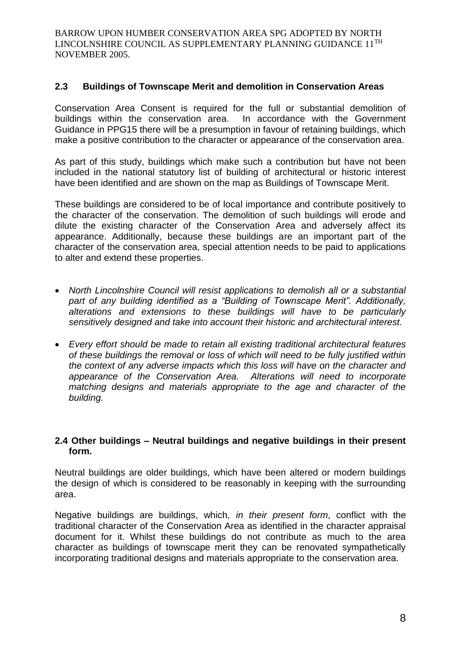## **2.3 Buildings of Townscape Merit and demolition in Conservation Areas**

Conservation Area Consent is required for the full or substantial demolition of buildings within the conservation area. In accordance with the Government Guidance in PPG15 there will be a presumption in favour of retaining buildings, which make a positive contribution to the character or appearance of the conservation area.

As part of this study, buildings which make such a contribution but have not been included in the national statutory list of building of architectural or historic interest have been identified and are shown on the map as Buildings of Townscape Merit.

These buildings are considered to be of local importance and contribute positively to the character of the conservation. The demolition of such buildings will erode and dilute the existing character of the Conservation Area and adversely affect its appearance. Additionally, because these buildings are an important part of the character of the conservation area, special attention needs to be paid to applications to alter and extend these properties.

- *North Lincolnshire Council will resist applications to demolish all or a substantial part of any building identified as a "Building of Townscape Merit". Additionally, alterations and extensions to these buildings will have to be particularly sensitively designed and take into account their historic and architectural interest.*
- *Every effort should be made to retain all existing traditional architectural features of these buildings the removal or loss of which will need to be fully justified within the context of any adverse impacts which this loss will have on the character and appearance of the Conservation Area. Alterations will need to incorporate matching designs and materials appropriate to the age and character of the building.*

## **2.4 Other buildings – Neutral buildings and negative buildings in their present form.**

Neutral buildings are older buildings, which have been altered or modern buildings the design of which is considered to be reasonably in keeping with the surrounding area.

Negative buildings are buildings, which, *in their present form*, conflict with the traditional character of the Conservation Area as identified in the character appraisal document for it. Whilst these buildings do not contribute as much to the area character as buildings of townscape merit they can be renovated sympathetically incorporating traditional designs and materials appropriate to the conservation area.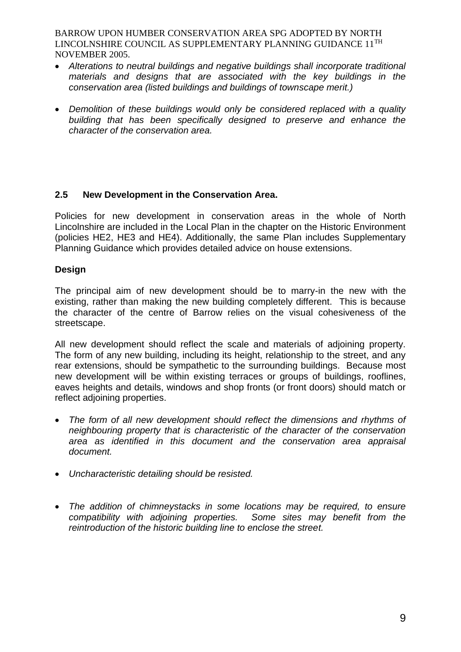- *Alterations to neutral buildings and negative buildings shall incorporate traditional materials and designs that are associated with the key buildings in the conservation area (listed buildings and buildings of townscape merit.)*
- *Demolition of these buildings would only be considered replaced with a quality building that has been specifically designed to preserve and enhance the character of the conservation area.*

## **2.5 New Development in the Conservation Area.**

Policies for new development in conservation areas in the whole of North Lincolnshire are included in the Local Plan in the chapter on the Historic Environment (policies HE2, HE3 and HE4). Additionally, the same Plan includes Supplementary Planning Guidance which provides detailed advice on house extensions.

## **Design**

The principal aim of new development should be to marry-in the new with the existing, rather than making the new building completely different. This is because the character of the centre of Barrow relies on the visual cohesiveness of the streetscape.

All new development should reflect the scale and materials of adjoining property. The form of any new building, including its height, relationship to the street, and any rear extensions, should be sympathetic to the surrounding buildings. Because most new development will be within existing terraces or groups of buildings, rooflines, eaves heights and details, windows and shop fronts (or front doors) should match or reflect adjoining properties.

- *The form of all new development should reflect the dimensions and rhythms of neighbouring property that is characteristic of the character of the conservation area as identified in this document and the conservation area appraisal document.*
- *Uncharacteristic detailing should be resisted.*
- *The addition of chimneystacks in some locations may be required, to ensure compatibility with adjoining properties. Some sites may benefit from the reintroduction of the historic building line to enclose the street.*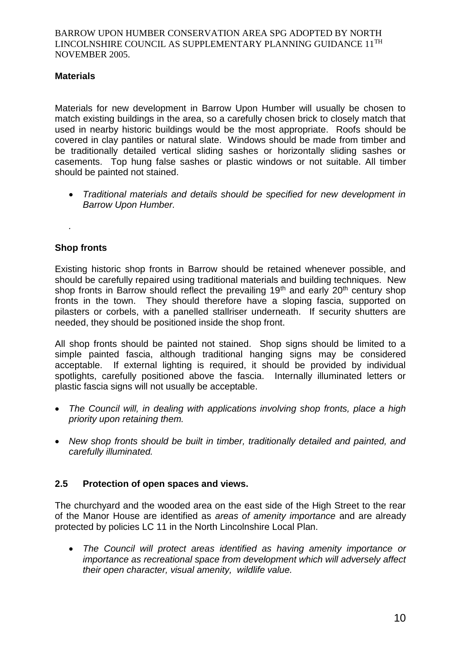## **Materials**

Materials for new development in Barrow Upon Humber will usually be chosen to match existing buildings in the area, so a carefully chosen brick to closely match that used in nearby historic buildings would be the most appropriate. Roofs should be covered in clay pantiles or natural slate. Windows should be made from timber and be traditionally detailed vertical sliding sashes or horizontally sliding sashes or casements. Top hung false sashes or plastic windows or not suitable. All timber should be painted not stained.

 *Traditional materials and details should be specified for new development in Barrow Upon Humber.*

*.* 

## **Shop fronts**

Existing historic shop fronts in Barrow should be retained whenever possible, and should be carefully repaired using traditional materials and building techniques. New shop fronts in Barrow should reflect the prevailing 19<sup>th</sup> and early 20<sup>th</sup> century shop fronts in the town. They should therefore have a sloping fascia, supported on pilasters or corbels, with a panelled stallriser underneath. If security shutters are needed, they should be positioned inside the shop front.

All shop fronts should be painted not stained. Shop signs should be limited to a simple painted fascia, although traditional hanging signs may be considered acceptable. If external lighting is required, it should be provided by individual spotlights, carefully positioned above the fascia. Internally illuminated letters or plastic fascia signs will not usually be acceptable.

- *The Council will, in dealing with applications involving shop fronts, place a high priority upon retaining them.*
- *New shop fronts should be built in timber, traditionally detailed and painted, and carefully illuminated.*

## **2.5 Protection of open spaces and views.**

The churchyard and the wooded area on the east side of the High Street to the rear of the Manor House are identified as *areas of amenity importance* and are already protected by policies LC 11 in the North Lincolnshire Local Plan.

 *The Council will protect areas identified as having amenity importance or importance as recreational space from development which will adversely affect their open character, visual amenity, wildlife value.*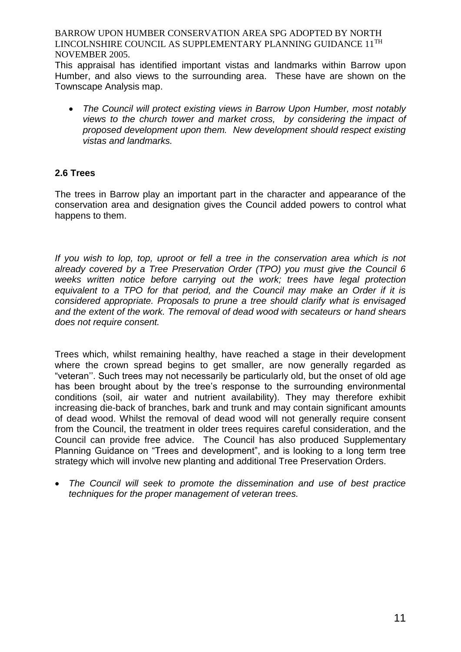This appraisal has identified important vistas and landmarks within Barrow upon Humber, and also views to the surrounding area. These have are shown on the Townscape Analysis map.

 *The Council will protect existing views in Barrow Upon Humber, most notably views to the church tower and market cross, by considering the impact of proposed development upon them. New development should respect existing vistas and landmarks.* 

## **2.6 Trees**

The trees in Barrow play an important part in the character and appearance of the conservation area and designation gives the Council added powers to control what happens to them.

*If you wish to lop, top, uproot or fell a tree in the conservation area which is not already covered by a Tree Preservation Order (TPO) you must give the Council 6 weeks written notice before carrying out the work; trees have legal protection equivalent to a TPO for that period, and the Council may make an Order if it is considered appropriate. Proposals to prune a tree should clarify what is envisaged and the extent of the work. The removal of dead wood with secateurs or hand shears does not require consent.*

Trees which, whilst remaining healthy, have reached a stage in their development where the crown spread begins to get smaller, are now generally regarded as "veteran''. Such trees may not necessarily be particularly old, but the onset of old age has been brought about by the tree's response to the surrounding environmental conditions (soil, air water and nutrient availability). They may therefore exhibit increasing die-back of branches, bark and trunk and may contain significant amounts of dead wood. Whilst the removal of dead wood will not generally require consent from the Council, the treatment in older trees requires careful consideration, and the Council can provide free advice. The Council has also produced Supplementary Planning Guidance on "Trees and development", and is looking to a long term tree strategy which will involve new planting and additional Tree Preservation Orders.

 *The Council will seek to promote the dissemination and use of best practice techniques for the proper management of veteran trees.*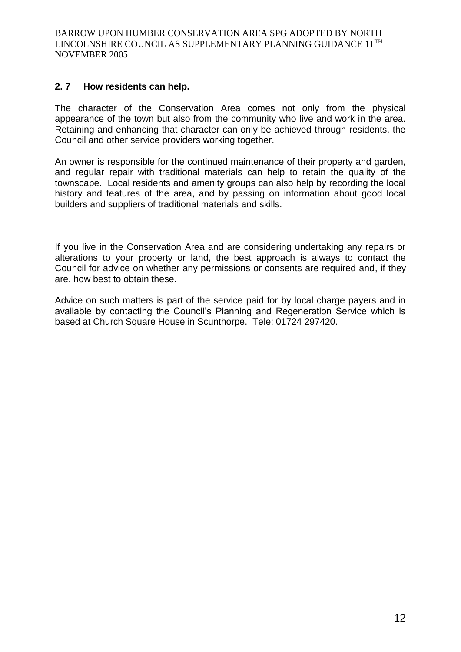## **2. 7 How residents can help.**

The character of the Conservation Area comes not only from the physical appearance of the town but also from the community who live and work in the area. Retaining and enhancing that character can only be achieved through residents, the Council and other service providers working together.

An owner is responsible for the continued maintenance of their property and garden, and regular repair with traditional materials can help to retain the quality of the townscape. Local residents and amenity groups can also help by recording the local history and features of the area, and by passing on information about good local builders and suppliers of traditional materials and skills.

If you live in the Conservation Area and are considering undertaking any repairs or alterations to your property or land, the best approach is always to contact the Council for advice on whether any permissions or consents are required and, if they are, how best to obtain these.

Advice on such matters is part of the service paid for by local charge payers and in available by contacting the Council's Planning and Regeneration Service which is based at Church Square House in Scunthorpe. Tele: 01724 297420.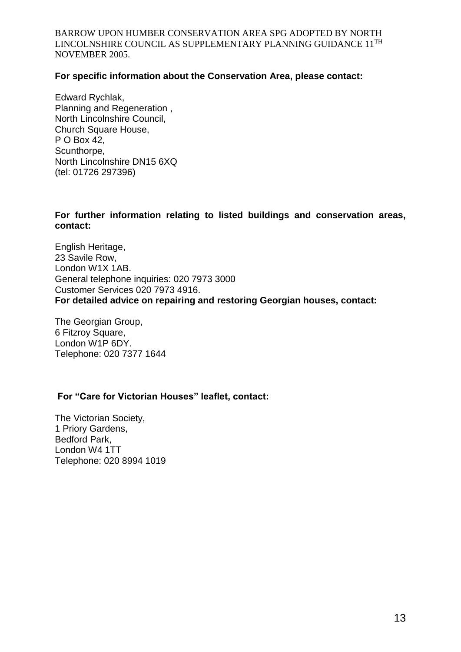## **For specific information about the Conservation Area, please contact:**

Edward Rychlak, Planning and Regeneration , North Lincolnshire Council, Church Square House, P O Box 42, Scunthorpe, North Lincolnshire DN15 6XQ (tel: 01726 297396)

## **For further information relating to listed buildings and conservation areas, contact:**

English Heritage, 23 Savile Row, London W1X 1AB. General telephone inquiries: 020 7973 3000 Customer Services 020 7973 4916. **For detailed advice on repairing and restoring Georgian houses, contact:**

The Georgian Group, 6 Fitzroy Square, London W1P 6DY. Telephone: 020 7377 1644

## **For "Care for Victorian Houses" leaflet, contact:**

The Victorian Society, 1 Priory Gardens, Bedford Park, London W4 1TT Telephone: 020 8994 1019